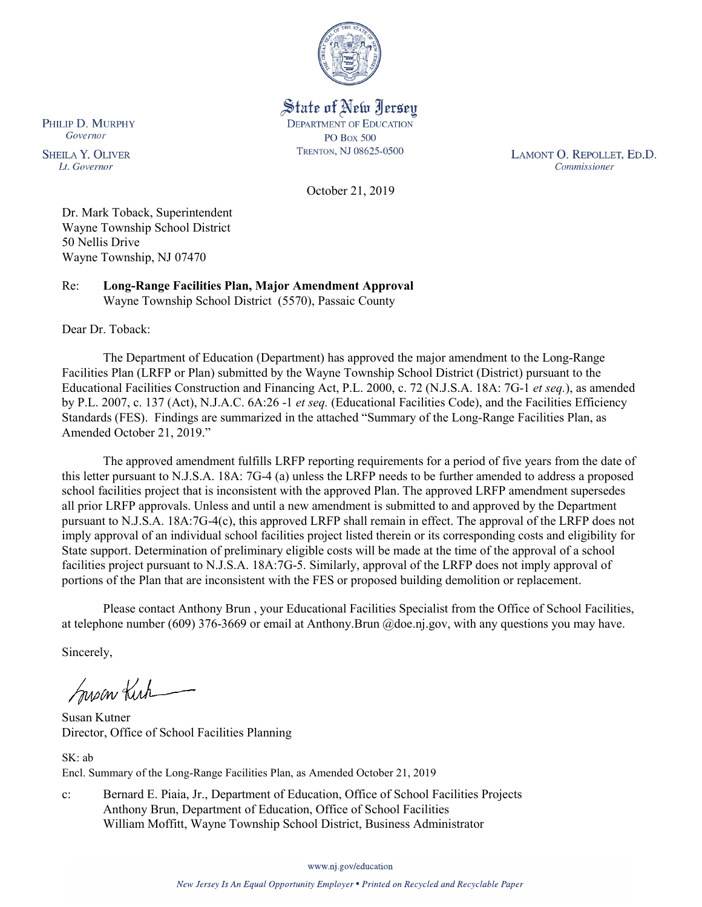

State of New Jersey **DEPARTMENT OF EDUCATION PO Box 500** TRENTON, NJ 08625-0500

LAMONT O. REPOLLET, ED.D. Commissioner

October 21, 2019

Dr. Mark Toback, Superintendent Wayne Township School District 50 Nellis Drive Wayne Township, NJ 07470

Re: **Long-Range Facilities Plan, Major Amendment Approval** Wayne Township School District (5570), Passaic County

Dear Dr. Toback:

PHILIP D. MURPHY Governor

**SHEILA Y. OLIVER** 

Lt. Governor

The Department of Education (Department) has approved the major amendment to the Long-Range Facilities Plan (LRFP or Plan) submitted by the Wayne Township School District (District) pursuant to the Educational Facilities Construction and Financing Act, P.L. 2000, c. 72 (N.J.S.A. 18A: 7G-1 *et seq.*), as amended by P.L. 2007, c. 137 (Act), N.J.A.C. 6A:26 -1 *et seq.* (Educational Facilities Code), and the Facilities Efficiency Standards (FES). Findings are summarized in the attached "Summary of the Long-Range Facilities Plan, as Amended October 21, 2019."

The approved amendment fulfills LRFP reporting requirements for a period of five years from the date of this letter pursuant to N.J.S.A. 18A: 7G-4 (a) unless the LRFP needs to be further amended to address a proposed school facilities project that is inconsistent with the approved Plan. The approved LRFP amendment supersedes all prior LRFP approvals. Unless and until a new amendment is submitted to and approved by the Department pursuant to N.J.S.A. 18A:7G-4(c), this approved LRFP shall remain in effect. The approval of the LRFP does not imply approval of an individual school facilities project listed therein or its corresponding costs and eligibility for State support. Determination of preliminary eligible costs will be made at the time of the approval of a school facilities project pursuant to N.J.S.A. 18A:7G-5. Similarly, approval of the LRFP does not imply approval of portions of the Plan that are inconsistent with the FES or proposed building demolition or replacement.

Please contact Anthony Brun , your Educational Facilities Specialist from the Office of School Facilities, at telephone number (609) 376-3669 or email at Anthony.Brun @doe.nj.gov, with any questions you may have.

Sincerely,

Susan Kich

Susan Kutner Director, Office of School Facilities Planning

SK: ab Encl. Summary of the Long-Range Facilities Plan, as Amended October 21, 2019

c: Bernard E. Piaia, Jr., Department of Education, Office of School Facilities Projects Anthony Brun, Department of Education, Office of School Facilities William Moffitt, Wayne Township School District, Business Administrator

www.nj.gov/education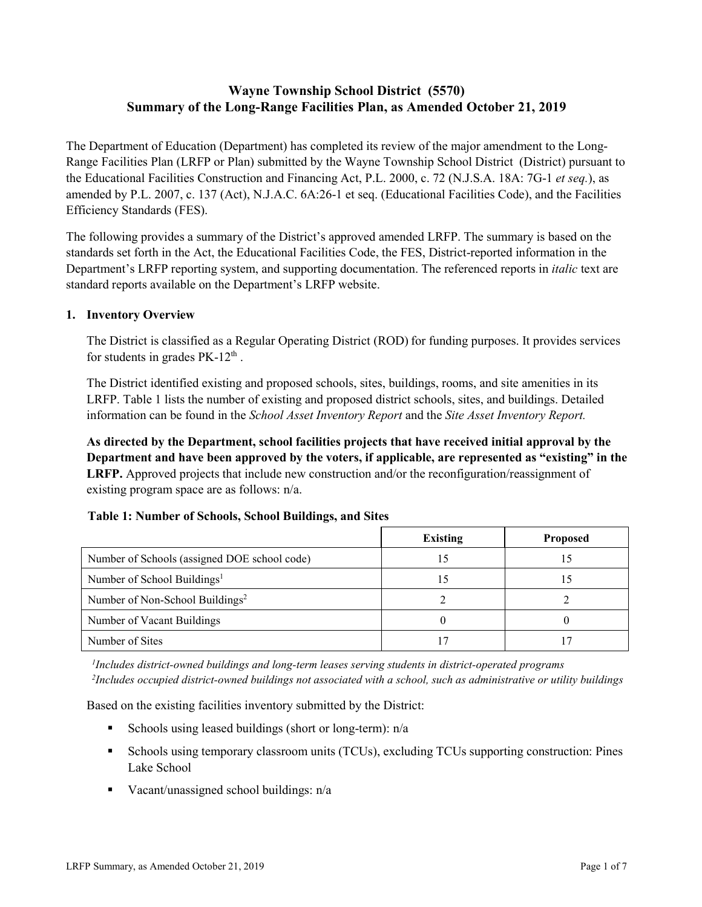# **Wayne Township School District (5570) Summary of the Long-Range Facilities Plan, as Amended October 21, 2019**

The Department of Education (Department) has completed its review of the major amendment to the Long-Range Facilities Plan (LRFP or Plan) submitted by the Wayne Township School District (District) pursuant to the Educational Facilities Construction and Financing Act, P.L. 2000, c. 72 (N.J.S.A. 18A: 7G-1 *et seq.*), as amended by P.L. 2007, c. 137 (Act), N.J.A.C. 6A:26-1 et seq. (Educational Facilities Code), and the Facilities Efficiency Standards (FES).

The following provides a summary of the District's approved amended LRFP. The summary is based on the standards set forth in the Act, the Educational Facilities Code, the FES, District-reported information in the Department's LRFP reporting system, and supporting documentation. The referenced reports in *italic* text are standard reports available on the Department's LRFP website.

#### **1. Inventory Overview**

The District is classified as a Regular Operating District (ROD) for funding purposes. It provides services for students in grades  $PK-12<sup>th</sup>$ .

The District identified existing and proposed schools, sites, buildings, rooms, and site amenities in its LRFP. Table 1 lists the number of existing and proposed district schools, sites, and buildings. Detailed information can be found in the *School Asset Inventory Report* and the *Site Asset Inventory Report.*

**As directed by the Department, school facilities projects that have received initial approval by the Department and have been approved by the voters, if applicable, are represented as "existing" in the LRFP.** Approved projects that include new construction and/or the reconfiguration/reassignment of existing program space are as follows: n/a.

|  |  | Table 1: Number of Schools, School Buildings, and Sites |  |
|--|--|---------------------------------------------------------|--|
|--|--|---------------------------------------------------------|--|

|                                              | <b>Existing</b> | <b>Proposed</b> |
|----------------------------------------------|-----------------|-----------------|
| Number of Schools (assigned DOE school code) |                 | L5              |
| Number of School Buildings <sup>1</sup>      |                 |                 |
| Number of Non-School Buildings <sup>2</sup>  |                 |                 |
| Number of Vacant Buildings                   |                 |                 |
| Number of Sites                              |                 |                 |

*1 Includes district-owned buildings and long-term leases serving students in district-operated programs 2 Includes occupied district-owned buildings not associated with a school, such as administrative or utility buildings*

Based on the existing facilities inventory submitted by the District:

- Schools using leased buildings (short or long-term):  $n/a$
- Schools using temporary classroom units (TCUs), excluding TCUs supporting construction: Pines Lake School
- Vacant/unassigned school buildings:  $n/a$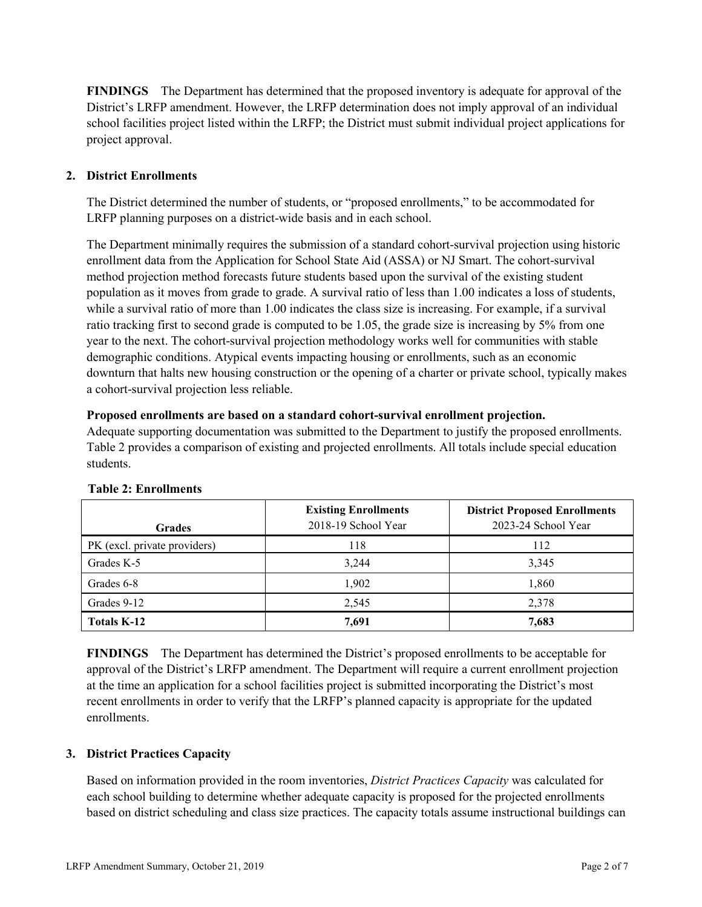**FINDINGS** The Department has determined that the proposed inventory is adequate for approval of the District's LRFP amendment. However, the LRFP determination does not imply approval of an individual school facilities project listed within the LRFP; the District must submit individual project applications for project approval.

# **2. District Enrollments**

The District determined the number of students, or "proposed enrollments," to be accommodated for LRFP planning purposes on a district-wide basis and in each school.

The Department minimally requires the submission of a standard cohort-survival projection using historic enrollment data from the Application for School State Aid (ASSA) or NJ Smart. The cohort-survival method projection method forecasts future students based upon the survival of the existing student population as it moves from grade to grade. A survival ratio of less than 1.00 indicates a loss of students, while a survival ratio of more than 1.00 indicates the class size is increasing. For example, if a survival ratio tracking first to second grade is computed to be 1.05, the grade size is increasing by 5% from one year to the next. The cohort-survival projection methodology works well for communities with stable demographic conditions. Atypical events impacting housing or enrollments, such as an economic downturn that halts new housing construction or the opening of a charter or private school, typically makes a cohort-survival projection less reliable.

#### **Proposed enrollments are based on a standard cohort-survival enrollment projection.**

Adequate supporting documentation was submitted to the Department to justify the proposed enrollments. Table 2 provides a comparison of existing and projected enrollments. All totals include special education students.

| <b>Grades</b>                | <b>Existing Enrollments</b><br>2018-19 School Year | <b>District Proposed Enrollments</b><br>2023-24 School Year |
|------------------------------|----------------------------------------------------|-------------------------------------------------------------|
| PK (excl. private providers) | 118                                                | 112                                                         |
| Grades K-5                   | 3,244                                              | 3,345                                                       |
| Grades 6-8                   | 1,902                                              | 1,860                                                       |
| Grades 9-12                  | 2.545                                              | 2,378                                                       |
| <b>Totals K-12</b>           | 7,691                                              | 7,683                                                       |

#### **Table 2: Enrollments**

**FINDINGS** The Department has determined the District's proposed enrollments to be acceptable for approval of the District's LRFP amendment. The Department will require a current enrollment projection at the time an application for a school facilities project is submitted incorporating the District's most recent enrollments in order to verify that the LRFP's planned capacity is appropriate for the updated enrollments.

# **3. District Practices Capacity**

Based on information provided in the room inventories, *District Practices Capacity* was calculated for each school building to determine whether adequate capacity is proposed for the projected enrollments based on district scheduling and class size practices. The capacity totals assume instructional buildings can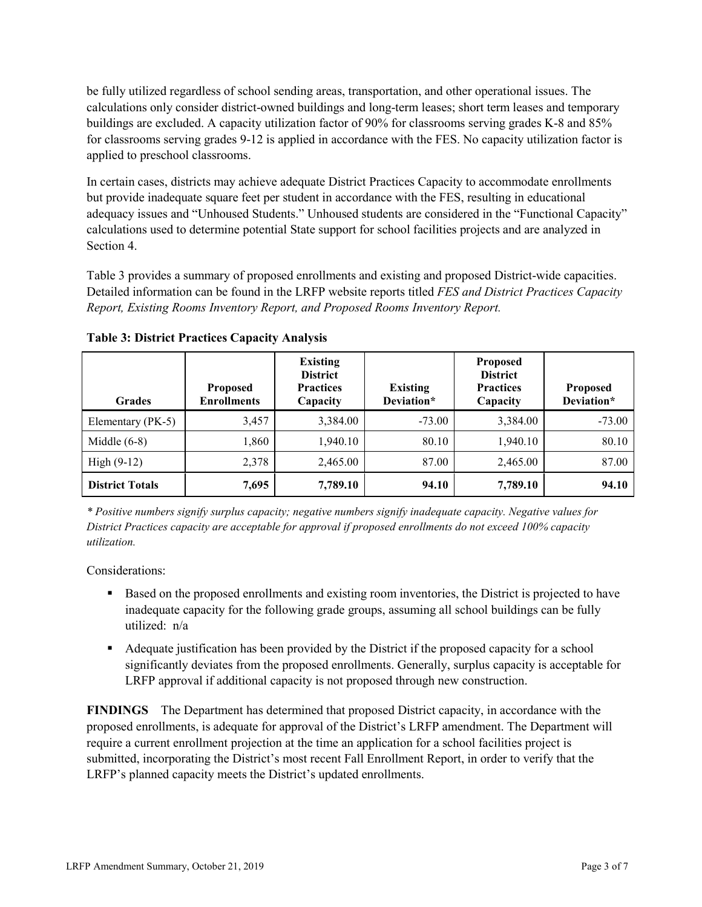be fully utilized regardless of school sending areas, transportation, and other operational issues. The calculations only consider district-owned buildings and long-term leases; short term leases and temporary buildings are excluded. A capacity utilization factor of 90% for classrooms serving grades K-8 and 85% for classrooms serving grades 9-12 is applied in accordance with the FES. No capacity utilization factor is applied to preschool classrooms.

In certain cases, districts may achieve adequate District Practices Capacity to accommodate enrollments but provide inadequate square feet per student in accordance with the FES, resulting in educational adequacy issues and "Unhoused Students." Unhoused students are considered in the "Functional Capacity" calculations used to determine potential State support for school facilities projects and are analyzed in Section 4.

Table 3 provides a summary of proposed enrollments and existing and proposed District-wide capacities. Detailed information can be found in the LRFP website reports titled *FES and District Practices Capacity Report, Existing Rooms Inventory Report, and Proposed Rooms Inventory Report.*

| <b>Grades</b>          | <b>Proposed</b><br><b>Enrollments</b> | <b>Existing</b><br><b>District</b><br><b>Practices</b><br>Capacity | <b>Existing</b><br>Deviation* | <b>Proposed</b><br><b>District</b><br><b>Practices</b><br>Capacity | <b>Proposed</b><br>Deviation* |
|------------------------|---------------------------------------|--------------------------------------------------------------------|-------------------------------|--------------------------------------------------------------------|-------------------------------|
| Elementary (PK-5)      | 3,457                                 | 3,384.00                                                           | $-73.00$                      | 3,384.00                                                           | $-73.00$                      |
| Middle $(6-8)$         | 1,860                                 | 1,940.10                                                           | 80.10                         | 1,940.10                                                           | 80.10                         |
| High $(9-12)$          | 2,378                                 | 2,465.00                                                           | 87.00                         | 2,465.00                                                           | 87.00                         |
| <b>District Totals</b> | 7,695                                 | 7,789.10                                                           | 94.10                         | 7,789.10                                                           | 94.10                         |

**Table 3: District Practices Capacity Analysis**

*\* Positive numbers signify surplus capacity; negative numbers signify inadequate capacity. Negative values for District Practices capacity are acceptable for approval if proposed enrollments do not exceed 100% capacity utilization.*

Considerations:

- **Based on the proposed enrollments and existing room inventories, the District is projected to have** inadequate capacity for the following grade groups, assuming all school buildings can be fully utilized: n/a
- Adequate justification has been provided by the District if the proposed capacity for a school significantly deviates from the proposed enrollments. Generally, surplus capacity is acceptable for LRFP approval if additional capacity is not proposed through new construction.

**FINDINGS**The Department has determined that proposed District capacity, in accordance with the proposed enrollments, is adequate for approval of the District's LRFP amendment. The Department will require a current enrollment projection at the time an application for a school facilities project is submitted, incorporating the District's most recent Fall Enrollment Report, in order to verify that the LRFP's planned capacity meets the District's updated enrollments.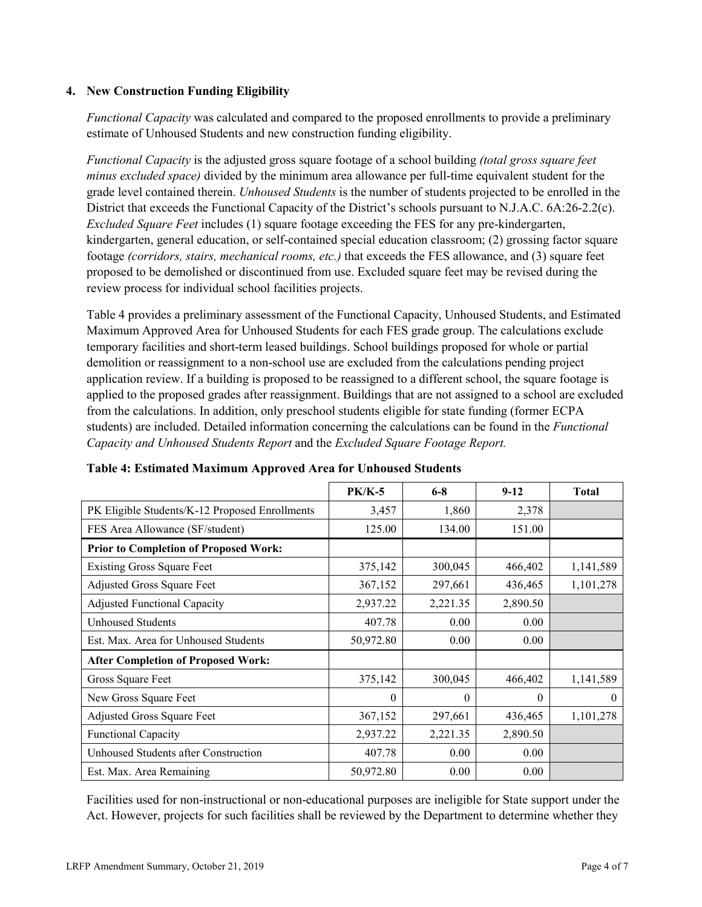### **4. New Construction Funding Eligibility**

*Functional Capacity* was calculated and compared to the proposed enrollments to provide a preliminary estimate of Unhoused Students and new construction funding eligibility.

*Functional Capacity* is the adjusted gross square footage of a school building *(total gross square feet minus excluded space)* divided by the minimum area allowance per full-time equivalent student for the grade level contained therein. *Unhoused Students* is the number of students projected to be enrolled in the District that exceeds the Functional Capacity of the District's schools pursuant to N.J.A.C. 6A:26-2.2(c). *Excluded Square Feet* includes (1) square footage exceeding the FES for any pre-kindergarten, kindergarten, general education, or self-contained special education classroom; (2) grossing factor square footage *(corridors, stairs, mechanical rooms, etc.)* that exceeds the FES allowance, and (3) square feet proposed to be demolished or discontinued from use. Excluded square feet may be revised during the review process for individual school facilities projects.

Table 4 provides a preliminary assessment of the Functional Capacity, Unhoused Students, and Estimated Maximum Approved Area for Unhoused Students for each FES grade group. The calculations exclude temporary facilities and short-term leased buildings. School buildings proposed for whole or partial demolition or reassignment to a non-school use are excluded from the calculations pending project application review. If a building is proposed to be reassigned to a different school, the square footage is applied to the proposed grades after reassignment. Buildings that are not assigned to a school are excluded from the calculations. In addition, only preschool students eligible for state funding (former ECPA students) are included. Detailed information concerning the calculations can be found in the *Functional Capacity and Unhoused Students Report* and the *Excluded Square Footage Report.*

|                                                | <b>PK/K-5</b> | $6 - 8$  | $9 - 12$ | <b>Total</b> |
|------------------------------------------------|---------------|----------|----------|--------------|
| PK Eligible Students/K-12 Proposed Enrollments | 3,457         | 1,860    | 2,378    |              |
| FES Area Allowance (SF/student)                | 125.00        | 134.00   | 151.00   |              |
| <b>Prior to Completion of Proposed Work:</b>   |               |          |          |              |
| <b>Existing Gross Square Feet</b>              | 375,142       | 300,045  | 466,402  | 1,141,589    |
| Adjusted Gross Square Feet                     | 367,152       | 297,661  | 436,465  | 1,101,278    |
| <b>Adjusted Functional Capacity</b>            | 2,937.22      | 2,221.35 | 2,890.50 |              |
| <b>Unhoused Students</b>                       | 407.78        | 0.00     | 0.00     |              |
| Est. Max. Area for Unhoused Students           | 50,972.80     | 0.00     | 0.00     |              |
| <b>After Completion of Proposed Work:</b>      |               |          |          |              |
| Gross Square Feet                              | 375,142       | 300,045  | 466,402  | 1,141,589    |
| New Gross Square Feet                          | $\theta$      | $\theta$ | $\theta$ | $\theta$     |
| Adjusted Gross Square Feet                     | 367,152       | 297,661  | 436,465  | 1,101,278    |
| Functional Capacity                            | 2,937.22      | 2,221.35 | 2,890.50 |              |
| Unhoused Students after Construction           | 407.78        | 0.00     | 0.00     |              |
| Est. Max. Area Remaining                       | 50,972.80     | 0.00     | 0.00     |              |

**Table 4: Estimated Maximum Approved Area for Unhoused Students**

Facilities used for non-instructional or non-educational purposes are ineligible for State support under the Act. However, projects for such facilities shall be reviewed by the Department to determine whether they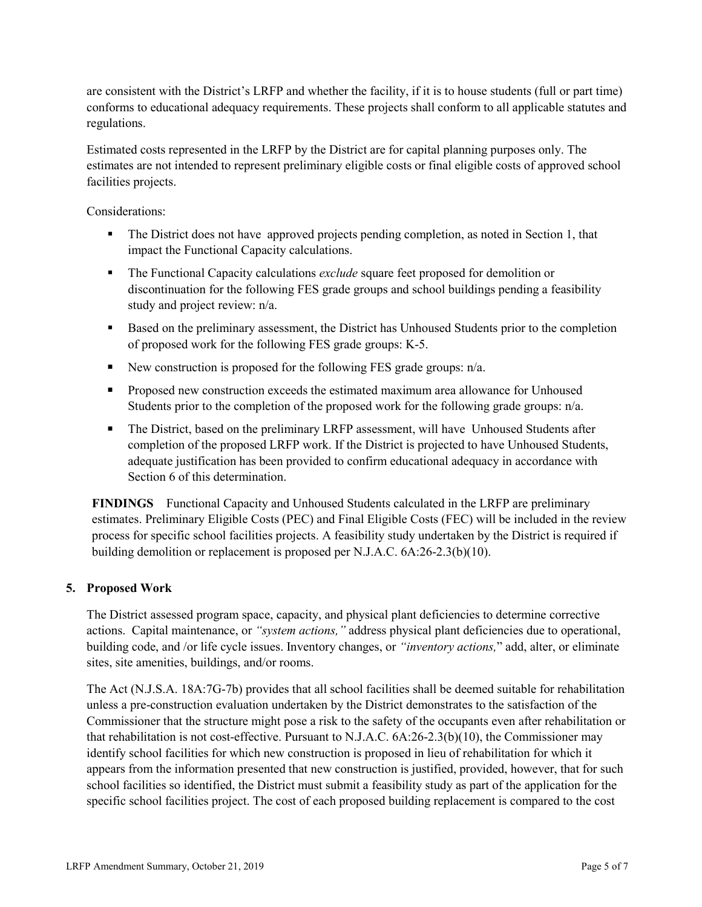are consistent with the District's LRFP and whether the facility, if it is to house students (full or part time) conforms to educational adequacy requirements. These projects shall conform to all applicable statutes and regulations.

Estimated costs represented in the LRFP by the District are for capital planning purposes only. The estimates are not intended to represent preliminary eligible costs or final eligible costs of approved school facilities projects.

Considerations:

- The District does not have approved projects pending completion, as noted in Section 1, that impact the Functional Capacity calculations.
- The Functional Capacity calculations *exclude* square feet proposed for demolition or discontinuation for the following FES grade groups and school buildings pending a feasibility study and project review: n/a.
- Based on the preliminary assessment, the District has Unhoused Students prior to the completion of proposed work for the following FES grade groups: K-5.
- New construction is proposed for the following FES grade groups:  $n/a$ .
- **Proposed new construction exceeds the estimated maximum area allowance for Unhoused** Students prior to the completion of the proposed work for the following grade groups: n/a.
- The District, based on the preliminary LRFP assessment, will have Unhoused Students after completion of the proposed LRFP work. If the District is projected to have Unhoused Students, adequate justification has been provided to confirm educational adequacy in accordance with Section 6 of this determination.

**FINDINGS** Functional Capacity and Unhoused Students calculated in the LRFP are preliminary estimates. Preliminary Eligible Costs (PEC) and Final Eligible Costs (FEC) will be included in the review process for specific school facilities projects. A feasibility study undertaken by the District is required if building demolition or replacement is proposed per N.J.A.C. 6A:26-2.3(b)(10).

# **5. Proposed Work**

The District assessed program space, capacity, and physical plant deficiencies to determine corrective actions. Capital maintenance, or *"system actions,"* address physical plant deficiencies due to operational, building code, and /or life cycle issues. Inventory changes, or *"inventory actions,*" add, alter, or eliminate sites, site amenities, buildings, and/or rooms.

The Act (N.J.S.A. 18A:7G-7b) provides that all school facilities shall be deemed suitable for rehabilitation unless a pre-construction evaluation undertaken by the District demonstrates to the satisfaction of the Commissioner that the structure might pose a risk to the safety of the occupants even after rehabilitation or that rehabilitation is not cost-effective. Pursuant to N.J.A.C. 6A:26-2.3(b)(10), the Commissioner may identify school facilities for which new construction is proposed in lieu of rehabilitation for which it appears from the information presented that new construction is justified, provided, however, that for such school facilities so identified, the District must submit a feasibility study as part of the application for the specific school facilities project. The cost of each proposed building replacement is compared to the cost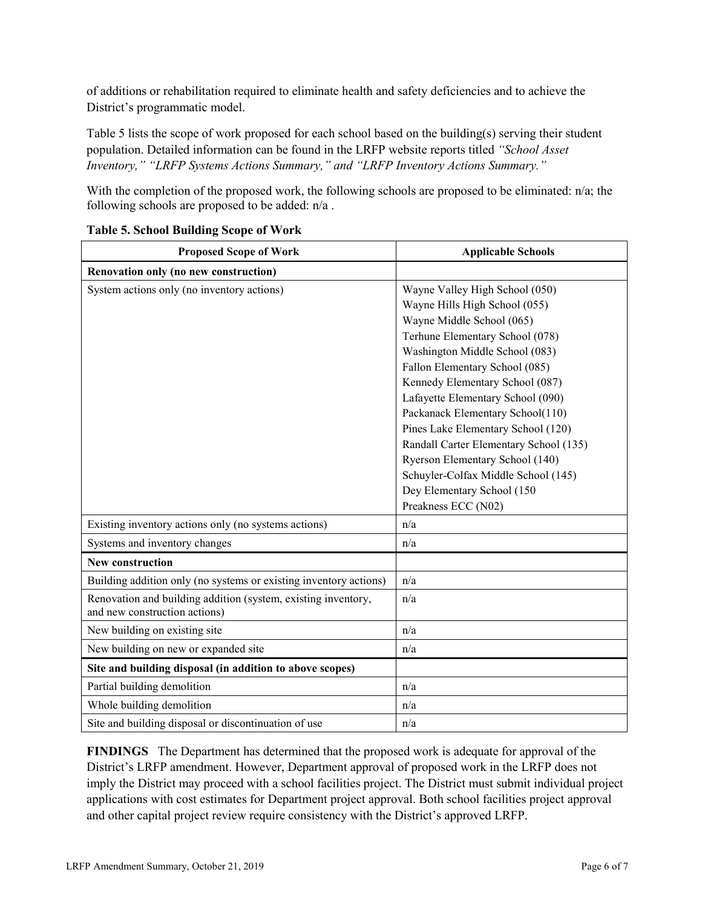of additions or rehabilitation required to eliminate health and safety deficiencies and to achieve the District's programmatic model.

Table 5 lists the scope of work proposed for each school based on the building(s) serving their student population. Detailed information can be found in the LRFP website reports titled *"School Asset Inventory," "LRFP Systems Actions Summary," and "LRFP Inventory Actions Summary."*

With the completion of the proposed work, the following schools are proposed to be eliminated: n/a; the following schools are proposed to be added: n/a .

| <b>Proposed Scope of Work</b>                                                                  | <b>Applicable Schools</b>                                                                                                                                                                                                                                                                                                                                                                                                                                                                                                      |  |  |
|------------------------------------------------------------------------------------------------|--------------------------------------------------------------------------------------------------------------------------------------------------------------------------------------------------------------------------------------------------------------------------------------------------------------------------------------------------------------------------------------------------------------------------------------------------------------------------------------------------------------------------------|--|--|
| Renovation only (no new construction)                                                          |                                                                                                                                                                                                                                                                                                                                                                                                                                                                                                                                |  |  |
| System actions only (no inventory actions)                                                     | Wayne Valley High School (050)<br>Wayne Hills High School (055)<br>Wayne Middle School (065)<br>Terhune Elementary School (078)<br>Washington Middle School (083)<br>Fallon Elementary School (085)<br>Kennedy Elementary School (087)<br>Lafayette Elementary School (090)<br>Packanack Elementary School(110)<br>Pines Lake Elementary School (120)<br>Randall Carter Elementary School (135)<br>Ryerson Elementary School (140)<br>Schuyler-Colfax Middle School (145)<br>Dey Elementary School (150<br>Preakness ECC (N02) |  |  |
| Existing inventory actions only (no systems actions)                                           | n/a                                                                                                                                                                                                                                                                                                                                                                                                                                                                                                                            |  |  |
| Systems and inventory changes                                                                  | n/a                                                                                                                                                                                                                                                                                                                                                                                                                                                                                                                            |  |  |
| <b>New construction</b>                                                                        |                                                                                                                                                                                                                                                                                                                                                                                                                                                                                                                                |  |  |
| Building addition only (no systems or existing inventory actions)                              | n/a                                                                                                                                                                                                                                                                                                                                                                                                                                                                                                                            |  |  |
| Renovation and building addition (system, existing inventory,<br>and new construction actions) | n/a                                                                                                                                                                                                                                                                                                                                                                                                                                                                                                                            |  |  |
| New building on existing site                                                                  | n/a                                                                                                                                                                                                                                                                                                                                                                                                                                                                                                                            |  |  |
| New building on new or expanded site                                                           | n/a                                                                                                                                                                                                                                                                                                                                                                                                                                                                                                                            |  |  |
| Site and building disposal (in addition to above scopes)                                       |                                                                                                                                                                                                                                                                                                                                                                                                                                                                                                                                |  |  |
| Partial building demolition                                                                    | n/a                                                                                                                                                                                                                                                                                                                                                                                                                                                                                                                            |  |  |
| Whole building demolition                                                                      | n/a                                                                                                                                                                                                                                                                                                                                                                                                                                                                                                                            |  |  |
| Site and building disposal or discontinuation of use                                           | n/a                                                                                                                                                                                                                                                                                                                                                                                                                                                                                                                            |  |  |

# **Table 5. School Building Scope of Work**

**FINDINGS** The Department has determined that the proposed work is adequate for approval of the District's LRFP amendment. However, Department approval of proposed work in the LRFP does not imply the District may proceed with a school facilities project. The District must submit individual project applications with cost estimates for Department project approval. Both school facilities project approval and other capital project review require consistency with the District's approved LRFP.